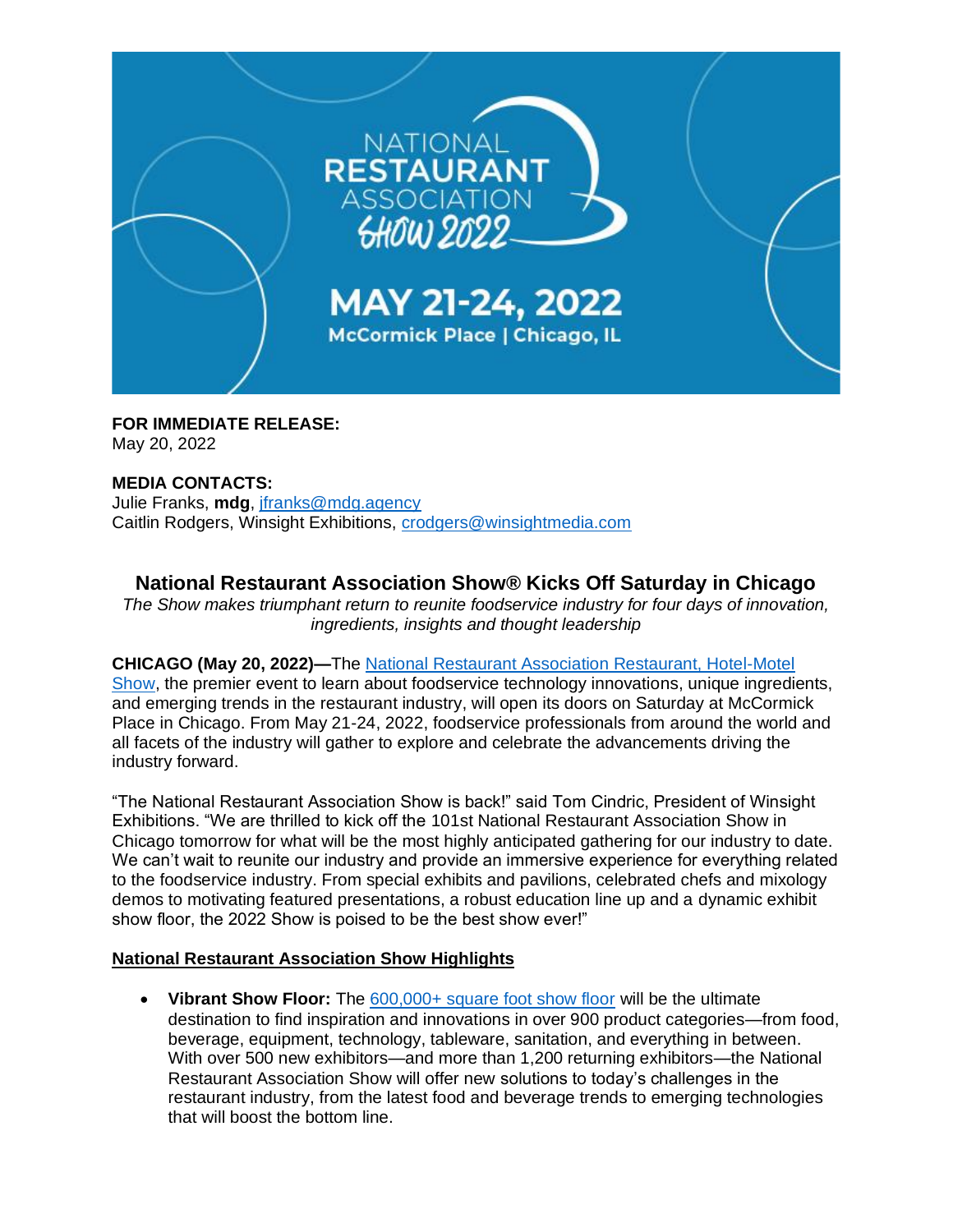

**FOR IMMEDIATE RELEASE:**

May 20, 2022

## **MEDIA CONTACTS:**

Julie Franks, **mdg**, [jfranks@mdg.agency](mailto:jfranks@mdg.agency) Caitlin Rodgers, Winsight Exhibitions, [crodgers@winsightmedia.com](mailto:crodgers@winsightmedia.com)

# **National Restaurant Association Show® Kicks Off Saturday in Chicago**

*The Show makes triumphant return to reunite foodservice industry for four days of innovation, ingredients, insights and thought leadership*

### **CHICAGO (May 20, 2022)—**The [National Restaurant Association Restaurant, Hotel-Motel](https://www.nationalrestaurantshow.com/)

[Show,](https://www.nationalrestaurantshow.com/) the premier event to learn about foodservice technology innovations, unique ingredients, and emerging trends in the restaurant industry, will open its doors on Saturday at McCormick Place in Chicago. From May 21-24, 2022, foodservice professionals from around the world and all facets of the industry will gather to explore and celebrate the advancements driving the industry forward.

"The National Restaurant Association Show is back!" said Tom Cindric, President of Winsight Exhibitions. "We are thrilled to kick off the 101st National Restaurant Association Show in Chicago tomorrow for what will be the most highly anticipated gathering for our industry to date. We can't wait to reunite our industry and provide an immersive experience for everything related to the foodservice industry. From special exhibits and pavilions, celebrated chefs and mixology demos to motivating featured presentations, a robust education line up and a dynamic exhibit show floor, the 2022 Show is poised to be the best show ever!"

### **National Restaurant Association Show Highlights**

• **Vibrant Show Floor:** The [600,000+ square foot show floor](https://directory.nationalrestaurantshow.com/8_0/explore/exhibitor-gallery.cfm?featured=false) will be the ultimate destination to find inspiration and innovations in over 900 product categories—from food, beverage, equipment, technology, tableware, sanitation, and everything in between. With over 500 new exhibitors—and more than 1,200 returning exhibitors—the National Restaurant Association Show will offer new solutions to today's challenges in the restaurant industry, from the latest food and beverage trends to emerging technologies that will boost the bottom line.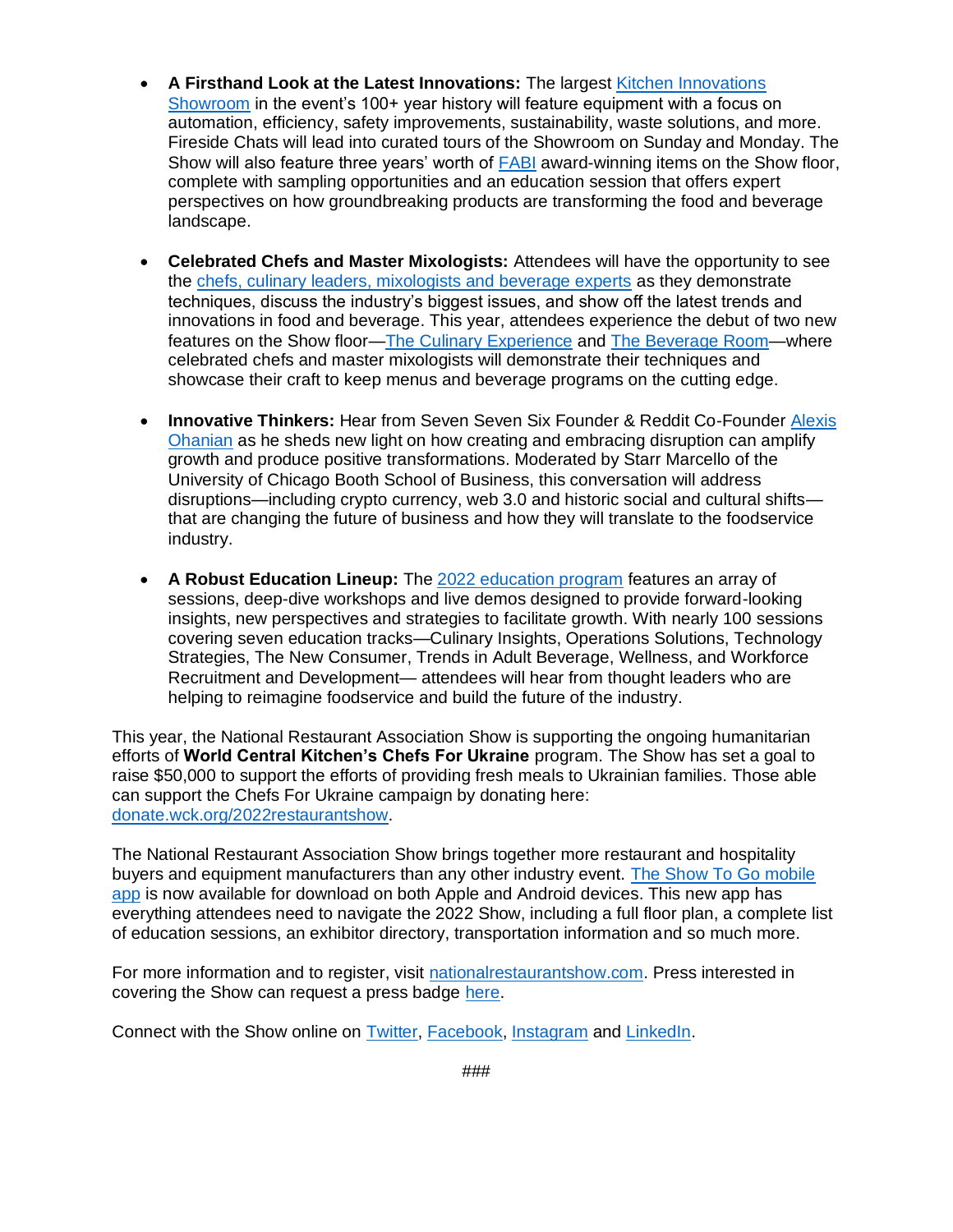- **A Firsthand Look at the Latest Innovations:** The largest [Kitchen Innovations](https://www.nationalrestaurantshow.com/why-attend/special-exhibits-pavilions/kitchen-innovations-showroom)  [Showroom](https://www.nationalrestaurantshow.com/why-attend/special-exhibits-pavilions/kitchen-innovations-showroom) in the event's 100+ year history will feature equipment with a focus on automation, efficiency, safety improvements, sustainability, waste solutions, and more. Fireside Chats will lead into curated tours of the Showroom on Sunday and Monday. The Show will also feature three years' worth of [FABI](https://www.nationalrestaurantshow.com/show-features/FABI) award-winning items on the Show floor, complete with sampling opportunities and an education session that offers expert perspectives on how groundbreaking products are transforming the food and beverage landscape.
- **Celebrated Chefs and Master Mixologists:** Attendees will have the opportunity to see the [chefs, culinary leaders, mixologists and beverage experts](https://www.nationalrestaurantshow.com/why-attend/celebrated-chef-mixology-demos) as they demonstrate techniques, discuss the industry's biggest issues, and show off the latest trends and innovations in food and beverage. This year, attendees experience the debut of two new features on the Show floor[—The Culinary Experience](https://directory.nationalrestaurantshow.com/8_0/sessions/?&_ga=2.139155827.1712650811.1652717705-1556298142.1638997603#/searchtype/sessionlocations/search/The%20Culinary%20Experience%20%E2%80%93%20Lakeside%20Center%20%E2%80%93%2010448/show/all) and [The Beverage Room—](https://directory.nationalrestaurantshow.com/8_0/sessions/?&_ga=2.139155827.1712650811.1652717705-1556298142.1638997603#/searchtype/sessionlocations/search/The%20Beverage%20Room%20Stage%20-%20Lakeside%20Center%20-%2011430%20/show/all)where celebrated chefs and master mixologists will demonstrate their techniques and showcase their craft to keep menus and beverage programs on the cutting edge.
- **Innovative Thinkers:** Hear from Seven Seven Six Founder & Reddit Co-Founder [Alexis](https://www.nationalrestaurantshow.com/featured-sessions)  [Ohanian](https://www.nationalrestaurantshow.com/featured-sessions) as he sheds new light on how creating and embracing disruption can amplify growth and produce positive transformations. Moderated by Starr Marcello of the University of Chicago Booth School of Business, this conversation will address disruptions—including crypto currency, web 3.0 and historic social and cultural shifts that are changing the future of business and how they will translate to the foodservice industry.
- **A Robust Education Lineup:** The [2022 education program](https://www.nationalrestaurantshow.com/education-sessions-and-speakers) features an array of sessions, deep-dive workshops and live demos designed to provide forward-looking insights, new perspectives and strategies to facilitate growth. With nearly 100 sessions covering seven education tracks—Culinary Insights, Operations Solutions, Technology Strategies, The New Consumer, Trends in Adult Beverage, Wellness, and Workforce Recruitment and Development— attendees will hear from thought leaders who are helping to reimagine foodservice and build the future of the industry.

This year, the National Restaurant Association Show is supporting the ongoing humanitarian efforts of **World Central Kitchen's Chefs For Ukraine** program. The Show has set a goal to raise \$50,000 to support the efforts of providing fresh meals to Ukrainian families. Those able can support the Chefs For Ukraine campaign by donating here: [donate.wck.org/2022restaurantshow.](https://donate.wck.org/2022restaurantshow)

The National Restaurant Association Show brings together more restaurant and hospitality buyers and equipment manufacturers than any other industry event. [The Show To Go mobile](https://restaurant22.mobile.mapyourshow.com/%20?utm_source=email&utm_medium=knowb4ugo-20220516-CTA&utm_campaign=reg-sprint-4&mkt_tok=NTYxLVpOUC04OTcAAAGEbIVQVCZX3GmvBEcv89oqoDaq5X9UE41zXirnbWuwVV2icjA-WR6aYhyQM_-Qb8a0JnUg0qmnLjx8Q2z8YpemVk42IjbiOz3yxo2-rqO0kgPqZZ0)  [app](https://restaurant22.mobile.mapyourshow.com/%20?utm_source=email&utm_medium=knowb4ugo-20220516-CTA&utm_campaign=reg-sprint-4&mkt_tok=NTYxLVpOUC04OTcAAAGEbIVQVCZX3GmvBEcv89oqoDaq5X9UE41zXirnbWuwVV2icjA-WR6aYhyQM_-Qb8a0JnUg0qmnLjx8Q2z8YpemVk42IjbiOz3yxo2-rqO0kgPqZZ0) is now available for download on both Apple and Android devices. This new app has everything attendees need to navigate the 2022 Show, including a full floor plan, a complete list of education sessions, an exhibitor directory, transportation information and so much more.

For more information and to register, visit [nationalrestaurantshow.com.](https://www.nationalrestaurantshow.com/) Press interested in covering the Show can request a press badge [here.](https://registration.experientevent.com/ShowNRA221/flow/PRESS?_ga=2.108516290.1712650811.1652717705-1556298142.1638997603#!/registrant//Demographic3/)

Connect with the Show online on [Twitter,](https://twitter.com/NatlRestShow) [Facebook,](https://www.facebook.com/NationalRestaurantShow) [Instagram](https://www.instagram.com/nationalrestaurantshow) and [LinkedIn.](https://www.linkedin.com/showcase/nationalrestaurantassocationshow)